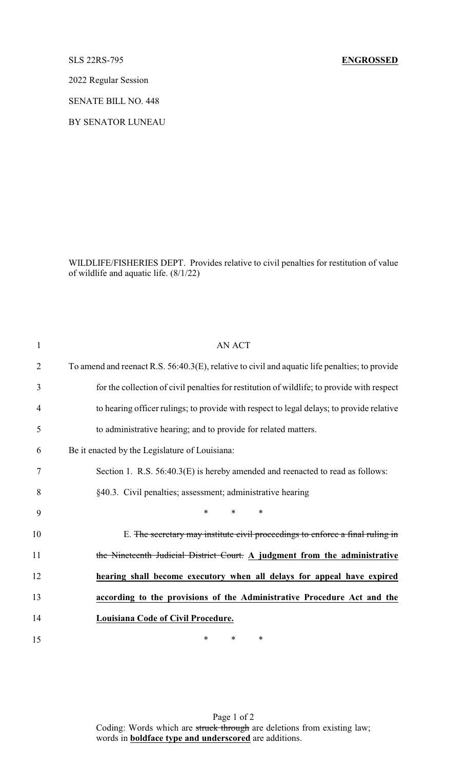## SLS 22RS-795 **ENGROSSED**

2022 Regular Session

SENATE BILL NO. 448

BY SENATOR LUNEAU

WILDLIFE/FISHERIES DEPT. Provides relative to civil penalties for restitution of value of wildlife and aquatic life. (8/1/22)

| $\mathbf{1}$   | <b>AN ACT</b>                                                                                  |
|----------------|------------------------------------------------------------------------------------------------|
| $\overline{2}$ | To amend and reenact R.S. 56:40.3(E), relative to civil and aquatic life penalties; to provide |
| 3              | for the collection of civil penalties for restitution of wildlife; to provide with respect     |
| $\overline{4}$ | to hearing officer rulings; to provide with respect to legal delays; to provide relative       |
| 5              | to administrative hearing; and to provide for related matters.                                 |
| 6              | Be it enacted by the Legislature of Louisiana:                                                 |
| 7              | Section 1. R.S. 56:40.3(E) is hereby amended and reenacted to read as follows:                 |
| 8              | §40.3. Civil penalties; assessment; administrative hearing                                     |
| 9              | *<br>*<br>$\ast$                                                                               |
| 10             | E. The secretary may institute civil proceedings to enforce a final ruling in                  |
| 11             | the Nineteenth Judicial District Court. $\Delta$ judgment from the administrative              |
| 12             | hearing shall become executory when all delays for appeal have expired                         |
| 13             | according to the provisions of the Administrative Procedure Act and the                        |
| 14             | Louisiana Code of Civil Procedure.                                                             |
| 15             | *<br>*<br>∗                                                                                    |